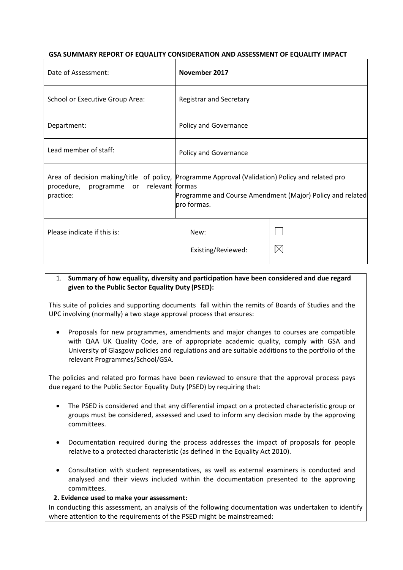# **GSA SUMMARY REPORT OF EQUALITY CONSIDERATION AND ASSESSMENT OF EQUALITY IMPACT**

| Date of Assessment:                                  | November 2017                                                                                                                                                               |          |
|------------------------------------------------------|-----------------------------------------------------------------------------------------------------------------------------------------------------------------------------|----------|
| School or Executive Group Area:                      | <b>Registrar and Secretary</b>                                                                                                                                              |          |
| Department:                                          | Policy and Governance                                                                                                                                                       |          |
| Lead member of staff:                                | Policy and Governance                                                                                                                                                       |          |
| procedure, programme or relevant formas<br>practice: | Area of decision making/title of policy, Programme Approval (Validation) Policy and related pro<br>Programme and Course Amendment (Major) Policy and related<br>pro formas. |          |
| Please indicate if this is:                          | New:<br>Existing/Reviewed:                                                                                                                                                  | $\times$ |

# 1. **Summary of how equality, diversity and participation have been considered and due regard given to the Public Sector Equality Duty (PSED):**

This suite of policies and supporting documents fall within the remits of Boards of Studies and the UPC involving (normally) a two stage approval process that ensures:

• Proposals for new programmes, amendments and major changes to courses are compatible with QAA UK Quality Code, are of appropriate academic quality, comply with GSA and University of Glasgow policies and regulations and are suitable additions to the portfolio of the relevant Programmes/School/GSA.

The policies and related pro formas have been reviewed to ensure that the approval process pays due regard to the Public Sector Equality Duty (PSED) by requiring that:

- The PSED is considered and that any differential impact on a protected characteristic group or groups must be considered, assessed and used to inform any decision made by the approving committees.
- Documentation required during the process addresses the impact of proposals for people relative to a protected characteristic (as defined in the Equality Act 2010).
- Consultation with student representatives, as well as external examiners is conducted and analysed and their views included within the documentation presented to the approving committees.

### **2. Evidence used to make your assessment:**

In conducting this assessment, an analysis of the following documentation was undertaken to identify where attention to the requirements of the PSED might be mainstreamed: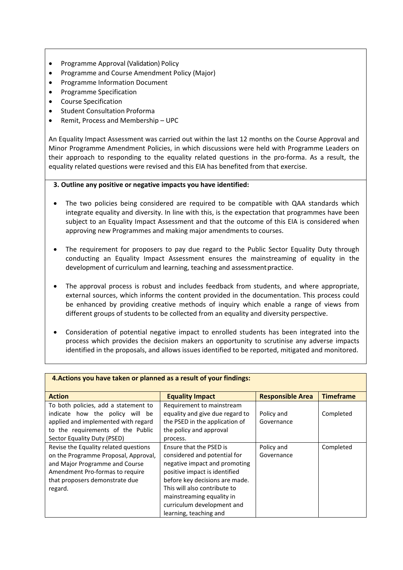- Programme Approval (Validation) Policy
- Programme and Course Amendment Policy (Major)
- Programme Information Document
- Programme Specification
- Course Specification
- **Student Consultation Proforma**
- Remit, Process and Membership UPC

An Equality Impact Assessment was carried out within the last 12 months on the Course Approval and Minor Programme Amendment Policies, in which discussions were held with Programme Leaders on their approach to responding to the equality related questions in the pro-forma. As a result, the equality related questions were revised and this EIA has benefited from that exercise.

#### **3. Outline any positive or negative impacts you have identified:**

- The two policies being considered are required to be compatible with QAA standards which integrate equality and diversity. In line with this, is the expectation that programmes have been subject to an Equality Impact Assessment and that the outcome of this EIA is considered when approving new Programmes and making major amendments to courses.
- The requirement for proposers to pay due regard to the Public Sector Equality Duty through conducting an Equality Impact Assessment ensures the mainstreaming of equality in the development of curriculum and learning, teaching and assessment practice.
- The approval process is robust and includes feedback from students, and where appropriate, external sources, which informs the content provided in the documentation. This process could be enhanced by providing creative methods of inquiry which enable a range of views from different groups of students to be collected from an equality and diversity perspective.
- Consideration of potential negative impact to enrolled students has been integrated into the process which provides the decision makers an opportunity to scrutinise any adverse impacts identified in the proposals, and allows issues identified to be reported, mitigated and monitored.

| <b>Action</b>                                                                                                                                                                                   | <b>Equality Impact</b>                                                                                                                                                                                                                                                           | <b>Responsible Area</b>  | <b>Timeframe</b> |
|-------------------------------------------------------------------------------------------------------------------------------------------------------------------------------------------------|----------------------------------------------------------------------------------------------------------------------------------------------------------------------------------------------------------------------------------------------------------------------------------|--------------------------|------------------|
| To both policies, add a statement to<br>indicate how the policy will be<br>applied and implemented with regard<br>to the requirements of the Public<br>Sector Equality Duty (PSED)              | Requirement to mainstream<br>equality and give due regard to<br>the PSED in the application of<br>the policy and approval<br>process.                                                                                                                                            | Policy and<br>Governance | Completed        |
| Revise the Equality related questions<br>on the Programme Proposal, Approval,<br>and Major Programme and Course<br>Amendment Pro-formas to require<br>that proposers demonstrate due<br>regard. | Ensure that the PSED is<br>considered and potential for<br>negative impact and promoting<br>positive impact is identified<br>before key decisions are made.<br>This will also contribute to<br>mainstreaming equality in<br>curriculum development and<br>learning, teaching and | Policy and<br>Governance | Completed        |

### **4.Actions you have taken or planned as a result of your findings:**